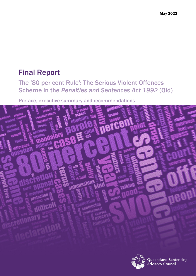# Final Report

## The '80 per cent Rule': The Serious Violent Offences Scheme in the *Penalties and Sentences Act 1992* (Qld)

Preface, executive summary and recommendations



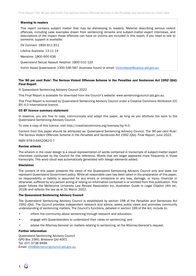#### Warning to readers

This report contains subject matter that may be distressing to readers. Material describing serious violent offences, including case examples drawn from sentencing remarks and subject-matter expert interviews, and descriptions of the impact these offences can have on victims are included in this report. If you need to talk to someone, support is available:

DV Connect: 1800 811 811

Lifeline Australia: 13 11 14

Mensline: 1800 600 636

Queensland Sexual Assault Helpline: 1800 010 120

Victim Assist Queensland: 1300 546 587 (business hours) or email: [VictimAssist@justice.qld.gov.au](mailto:VictimAssist@justice.qld.gov.au)

#### The '80 per cent Rule': The Serious Violent Offences Scheme in the *Penalties and Sentences Act 1992* (Qld): Final Report

© Queensland Sentencing Advisory Council 2022

This Final Report is available for download from the Council's website: www.sentencingcouncil.qld.gov.au.

This Final Report is licensed by Queensland Sentencing Advisory Council under a Creative Commons Attribution (CC BY) 4.0 International licence.

#### CC BY licence summary statement

In essence, you are free to copy, communicate and adapt this paper, as long as you attribute the work to the Queensland Sentencing Advisory Council.

To view a copy of this licence, visit http://creativecommons.org/licenses/by/4.0.

Content from this paper should be attributed as: Queensland Sentencing Advisory Council, *The '80 per cent Rule': The Serious Violent Offences Scheme in the Penalties and Sentences Act 1992 (Qld): Final Report*, June 2022.

#### ISBN 978-0-6452082-0-7

#### Review artwork

The artwork in the cover design is a visual representation of words contained in transcripts of subject-matter expert interviews conducted by the Council for this reference. Words that are larger appeared more frequently in those transcripts. This word cloud was automatically generated with design elements added.

#### Disclaimer

The content of this paper presents the views of the Queensland Sentencing Advisory Council only and does not represent Queensland Government policy. While all reasonable care has been taken in the preparation of this paper, no responsibility or liability is assumed for any errors or omissions or any loss, damage, or injury, financial or otherwise, suffered by any person acting or relying on information contained in or omitted from this publication. This paper follows the Melbourne University Law Review Association Inc, *Australian Guide to Legal Citation* (4th ed., 2018) and reflects the law as at 31 March 2022.

#### The Queensland Sentencing Advisory Council

The Queensland Sentencing Advisory Council is established by section 198 of the *Penalties and Sentences Act 1992* (Qld). The Council provides independent research and advice, seeks public views and promotes community understanding of sentencing matters. The Council's functions, detailed in section 199 of the Act, include to:

- inform the community about sentencing through research and education;
- engage with Queenslanders to understand their views on sentencing; and
- advise the Attorney-General on matters relating to sentencing, at the Attorney-General's request.

#### Further information

Queensland Sentencing Advisory Council GPO Box 2360, Brisbane Qld 4001 Tel: (07) 3738 9499 Email: [info@sentencingcouncil.qld.gov.au](mailto:info@sentencingcouncil.qld.gov.au)

 $\mathbf{1} \mid \cdot$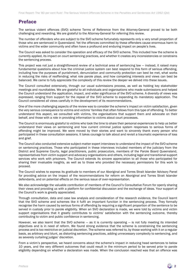## Preface

The serious violent offences (SVO) scheme Terms of Reference from the Attorney-General proved to be both challenging and rewarding. We are grateful to the Attorney-General for referring this review.

The number of offenders who are subject to the SVO scheme fortunately represents only a very small proportion of those who are sentenced in Queensland. Yet the offences committed by these offenders cause enormous harm to victims and the wider community and often have a profound and enduring impact on people's lives.

The Council was asked to consider the operation and efficacy of the SVO scheme. This included how the scheme is currently applied, its impact on court sentencing practices, and whether it creates any inconsistencies or constrains the sentencing process.

This project was not just a straightforward review of a technical area of sentencing law – instead, it raised many fundamental questions about how the criminal justice system can best respond to this form of serious offending, including how the purposes of punishment, denunciation and community protection can best be met, what works in reducing the risks of reoffending; what role parole plays, and how competing interests and views can best be balanced. We came to fully appreciate the complexity of this review the deeper we delved into these issues.

The Council consulted extensively, through our usual submissions process, as well as holding key stakeholder meetings and roundtables. We are grateful to all individuals and organisations who made submissions and helped the Council understand the application, impact, and wider significance of the SVO scheme. A diversity of views was expressed, ranging from support for the repeal of the SVO scheme to expanding its mandatory application. The Council considered all views carefully in the development of its recommendations.

One of the more challenging aspects of the review was to consider the scheme's impact on victim satisfaction, given the very serious consequence to victims and victims' families that often follows from this type of offending. To better understand this aspect, we consulted with victims, the organisations that support them and advocate on their behalf, and those with a role in providing information to victims about court processes.

The Council is enormously grateful to victims who took the time to share their personal experiences to help us better understand their views on sentencing and how current criminal justice system responses to serious forms of offending might be improved. We were moved by their stories and want to sincerely thank every person who participated in these consultation sessions. It takes courage to talk about and revisit a traumatic experience of loss and grief.

The Council also conducted extensive subject-matter expert interviews to understand the impact of the SVO scheme on sentencing practices. Those who participated in these interviews included members of the judiciary from the District and Supreme Courts, legal practitioners, public prosecutors, members of the Parole Board Queensland, representatives from victim support and advocacy organisations and others, including legal and transitional support services who work with prisoners. The Council extends its sincere appreciation to all those who participated for sharing their invaluable insights, as well as to those who provided the necessary permissions for this work to proceed.

The Council wishes to express its gratitude to members of our Aboriginal and Torres Strait Islander Advisory Panel for providing advice on the impact of the recommendations for reform on Aboriginal and Torres Strait Islander defendants, and on potential effects on the serious issue of over-representation.

We also acknowledge the valuable contribution of members of the Council's Consultative Forum for openly sharing their views and providing us with a platform for confidential discussion and the exchange of ideas. Your support of the Council's work is greatly appreciated.

Through consultation, data and case law analysis and consideration of the research evidence, the Council learnt that the SVO scheme and schemes like it fulfil an important function in the sentencing process. They formally recognise the harm caused by serious forms of offending by requiring a significant proportion of the sentence to be served in custody prior to parole eligibility. When an SVO declaration is made, we were told by victims and victim support organisations that it greatly contributes to victims' satisfaction with the sentencing outcome, thereby contributing to victim and public confidence in sentencing.

However, we also learnt that the SVO scheme — as it is currently operating — is not fully meeting its intended objectives and is in need of reform. We found strong evidence that the scheme is constraining the sentencing process and is too restrictive on judicial discretion. The scheme was referred to, by those working with it on a regular basis, as arbitrary and blunt, as distorting sentencing practices, adding unnecessary complexity to sentencing, and as severely curtailing judges' discretion.

From a victim's perspective, we heard concerns about the scheme's impact in reducing head sentences to below 10 years, and the very different outcomes that could result in the minimum period to be served prior to parole eligibility depending on whether a declaration was made. When the conclusion reached was that an offence was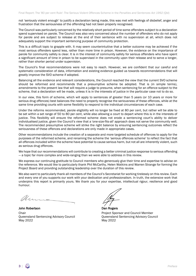not 'seriously violent enough' to justify a declaration being made, this was met with feelings of disbelief, anger and frustration that the seriousness of the offending had not been properly recognised.

The Council was particularly concerned by the relatively short period of time some offenders subject to a declaration spend supervised on parole. The Council was also very concerned about the number of offenders who do not apply for parole and are subject to release at the end of their sentence with no supervision at all, which does not adequately support the important sentencing purpose of community protection.

This is a difficult topic to grapple with. It may seem counterintuitive that a better outcome may be achieved if the most serious offenders spend less, rather than more time in prison. However, the evidence on the importance of parole for community safety is clear. It is in the interest of community safety for serious offenders who have spent a significant amount of time in prison to be supervised in the community upon their release and to serve a longer, rather than shorter period under supervision.

The Council's final recommendations were not easy to reach. However, we are confident that our careful and systematic consideration of data, information and existing evidence guided us towards recommendations that will greatly improve the SVO scheme if adopted.

Balancing all the evidence and relevant considerations, the Council reached the view that the current SVO scheme should be reformed and recommends that a presumptive scheme be adopted. That is (in simple terms), amendments to the present law that will require a judge to presume, when sentencing for an offence subject to the scheme, that a declaration will be made, unless it is in the interests of justice in the particular case not to do so.

In our view, this form of scheme, which will apply to sentences of greater than 5 years (or 10 years or more for serious drug offences) best balances the need to properly recognise the seriousness of these offences, while at the same time providing courts with some flexibility to respond to the individual circumstances of each case.

Under the reforms recommended, parole eligibility will no longer be fixed at 80 per cent, but rather will be able to be set within a set range of 50 to 80 per cent, while also allowing a court to depart where this is in the interests of justice. This flexibility will ensure the reformed scheme does not erode a sentencing court's ability to deliver individualised justice, given the Council's view that a 'one-size-fits-all' approach does not serve the community well. The recommended presumptive scheme will strike the right balance by ensuring sentencing outcomes reflect the seriousness of these offences and declarations are only made in appropriate cases.

Other recommendations include the creation of a separate and more targeted schedule of offences to apply for the purposes of the reformed scheme, and renaming the scheme the 'serious offences scheme' to reflect the fact that all offences included within the scheme have potential to cause serious harm, but not all are inherently violent, such as serious drug offences.

We hope that our recommendations will contribute to creating a better criminal justice response to serious offending — a topic far more complex and wide-ranging than we were able to address in this review.

We express our continuing gratitude to Council members who generously give their time and expertise to advise on the reference. We would like to particularly thank Phil McCarthy, Helen Watkins and Warren Strange for forming the Project Board and providing outstanding leadership over the duration of this review.

We also want to particularly thank all members of the Council's Secretariat for working tirelessly on this review. Each and every one of you supports our work with your dedication and professionalism. In truth, the extensive work that underpins this report is primarily yours. We thank you for your expertise, intellectual rigour, resilience and good humour.

Ms.

John Robertson Dan Rogers Chair<br>
Project Sponsor and Council Member<br>
Queensland Sentencing Advisory Council<br>
Queensland Sentencing Advisory Council Queensland Sentencing Advisory Council<br>May 2022

May 2022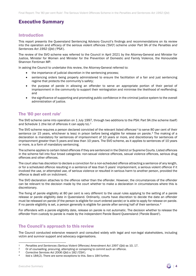## Executive Summary

## Introduction

This report presents the Queensland Sentencing Advisory Council's findings and recommendations on its review into the operation and efficacy of the serious violent offences ('SVO') scheme under Part 9A of the *Penalties and Sentences Act 1992* (Qld) ('PSA').

The review of the SVO scheme was referred to the Council in April 2021 by the Attorney-General and Minister for Justice, Minister for Women and Minister for the Prevention of Domestic and Family Violence, the Honourable Shannon Fentiman MP.

In asking the Council to undertake this review, the Attorney-General referred to:

- the importance of judicial discretion in the sentencing process:
- sentencing orders being properly administered to ensure the facilitation of a fair and just sentencing regime that protects the community's safety;
- the purpose of parole in allowing an offender to serve an appropriate portion of their period of imprisonment in the community to support their reintegration and minimise the likelihood of reoffending; and
- <span id="page-4-4"></span>• the significance of supporting and promoting public confidence in the criminal justice system to the overall administration of justice.

## The '80 per cent rule'

The SVO scheme came into operation on 1 July 1997, through two additions to the PSA: Part 9A (the scheme itself) and Schedule [1](#page-4-0) (the list of offences it can apply to).<sup>1</sup>

The SVO scheme requires a person declared convicted of the relevant listed offences<sup>[2](#page-4-1)</sup> to serve 80 per cent of their sentence (or 15 years, whichever is less) in prison before being eligible for release on parole.<sup>[3](#page-4-2)</sup> The making of a declaration is mandatory for sentences of imprisonment of 10 years or more, and discretionary for sentences of imprisonment greater than 5 years and less than 10 years. The SVO scheme, as it applies to sentences of 10 years or more, is a form of mandatory sentencing.

The scheme applies to certain listed offences if they are sentenced in the District or Supreme Courts. Listed offences in the scheme fall into four broad categories: non-sexual violence offences, sexual violence offences, serious drug offences and other offences.

The court also has discretion to declare a conviction for a non-scheduled offence attracting a sentence of any length, or for a scheduled offence resulting in a sentence of less than 5 years' imprisonment, a serious violent offence if it involved the use, or attempted use, of serious violence or resulted in serious harm to another person, provided the offence is dealt with on indictment.

The SVO declaration attaches to the offence rather than the offender. However, the circumstances of the offender can be relevant to the decision made by the court whether to make a declaration in circumstances where this is discretionary.

The fixing of parole eligibility at 80 per cent is very different to the usual rules applying to the setting of a parole release or parole eligibility date in Queensland. Ordinarily, courts have discretion to decide the date an offender must be released on parole (if the person is eligible for court ordered parole) or is able to apply for release on parole. If no parole eligibility is set, a person generally is eligible for parole after serving half of their sentence.<sup>[4](#page-4-3)</sup>

For offenders with a parole eligibility date, release on parole is not automatic. The decision whether to release the offender from custody to parole is made by the independent Parole Board Queensland ('Parole Board').

## The Council's approach to this review

The Council conducted extensive research and consulted widely with legal and non-legal stakeholders, including victim and survivor support and advocacy organisations.

<span id="page-4-0"></span><sup>&</sup>lt;sup>1</sup> *Penalties and Sentences (Serious Violent Offences) Amendment Act 1997 (Qld) ss 10, 17.*<br><sup>2</sup> Or of counselling, procuring attempting or conspiring to commit such an offence

<span id="page-4-1"></span><sup>2</sup> Or of counselling, procuring, attempting or conspiring to commit such an offence.<br>2 Corrective Services Act 2006 (Old) s 182 ('CSA')

<span id="page-4-3"></span><span id="page-4-2"></span><sup>3</sup> *Corrective Services Act 2006* (Qld) s 182 ('CSA').

Ibid s 184(2). There are some exceptions to this. See s 184 further.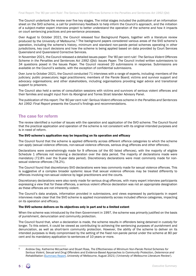The Council undertook the review over five key stages. The initial stages included the publication of an information sheet on the SVO scheme, a call for preliminary feedback to help inform the Council's approach, and the initiation of a subject-matter expert interview project to better understand the operation of the scheme and how it impacts on court sentencing practices and pre-sentence processes.

<span id="page-5-1"></span>Over August to October 2021, the Council released four Background Papers, together with a literature review produced by the University of Melbourne.<sup>[5](#page-5-0)</sup> The background papers considered various areas of the SVO scheme's operation, including the scheme's history, minimum and standard non-parole period schemes operating in other jurisdictions, key court decisions and how the scheme is being applied based on data provided by Court Services Queensland and Queensland Corrective Services.

In November 2021, the Council released a detailed issues paper: *The* '*80 per cent rule*'*: The Serious Violent Offences*  Scheme in the Penalties and Sentences Act 1992 (Old): Issues Paper. The Council invited written submissions to 34 questions posed in the Issues Paper. The Council received 20 submissions in response. Submissions are available on the Council's website, with the exception of confidential submissions.

Over June to October 2021, the Council conducted 71 interviews with a range of experts, including: members of the judiciary; public prosecutors; legal practitioners; members of the Parole Board; victims and survivor support and advocacy organisations; and other stakeholders, including organisations providing legal advice and transitional support to prisoners.

The Council also held a series of consultation sessions with victims and survivors of serious violent offences and their families and sought input from its Aboriginal and Torres Strait Islander Advisory Panel.

The publication of this report: *The* '*80 per cent rule*'*: Serious Violent offences scheme in the Penalties and Sentences Act 1992: Final Report* presents the Council's findings and recommendations.

## The case for reform

The review identified a number of issues with the operation and application of the SVO scheme. The Council found that the practical application and operation of the scheme is not consistent with its original intended purposes and is in need of reform.

#### The SVO scheme's application may be impacting on its operation and efficacy

The Council found that the scheme is applied differently across different offence categories to which the scheme can apply (sexual violence offences, non-sexual violence offences, serious drug offences and other offences).

Declarations were overwhelmingly made for 9 offences (of the 60 listed offences), with the majority of eligible Schedule 1 offences not receiving a declaration over the data period. The majority of declarations made were mandatory (72.8% over the 9-year data period). Discretionary declarations were most commonly made for nonsexual violence offences (78.2%).

The Council found that discretionary SVO declarations were less commonly made for sexual violence offences. This is suggestive of a complex broader systemic issue that sexual violence offences may be treated differently to offences involving non-sexual violence by legal practitioners and the courts.

Discretionary declarations were also rarely made for serious drug offences, with many expert interview participants expressing a view that for these offences, a serious violent offence declaration was not an appropriate designation as these offences are not inherently violent.

The Council's data analysis, information provided in submissions, and views expressed by participants in expert interviews made clear that the SVO scheme is applied inconsistently across included offence categories, impacting on its operation and efficacy.

#### The SVO scheme delivers on its objectives only in part and to a limited extent

When the scheme was introduced by the then Government in 1997, the scheme was primarily justified on the basis of punishment, denunciation and community protection.

The Council found that, when a declaration is made, the scheme results in offenders being detained in custody for longer. To this extent, it could be viewed as contributing to achieving the sentencing purposes of punishment and denunciation, as well as short-term community protection. However, the ability of the scheme to deliver on its intended purposes is likely compromised by the setting of the fixed non-parole period under the scheme at 80 per cent and its mandatory application to sentences of 10 years or more.

<span id="page-5-0"></span><sup>5</sup> Andrew Day, Katherine McLachlan and Stuart Ross, *The Effectiveness of Minimum Non-Parole Period Schemes for Serious Violent, Sexual and Drug Offenders and Evidence-Based Approaches to Community Protection, Deterrence and Rehabilitation* [\(Summary Report,](https://www.sentencingcouncil.qld.gov.au/__data/assets/pdf_file/0005/698621/svo-scheme-review-literature-review.pdf) University of Melbourne, August 2021) (*'University of Melbourne Literature Review*').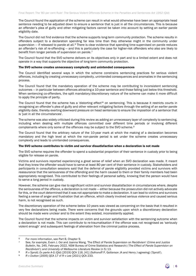The Council found the application of the scheme can result in what would otherwise have been an appropriate head sentence needing to be adjusted down to ensure a sentence that is just in all the circumstances. This is because an offender's plea of guilty and other mitigating factors cannot be taken into account by setting an earlier parole eligibility date.

The Council did not find evidence that the scheme supports long-term community protection. The scheme results in offenders subject to a declaration spending far less time than they otherwise might in the community under supervision  $-$  if released to parole at all. $6$  There is clear evidence that spending time supervised on parole reduces an offender's risk of re-offending — and this is particularly the case for higher-risk offenders who also are likely to benefit from longer periods of supervision on parole.<sup>[7](#page-6-1)</sup>

The Council found that the SVO scheme delivers on its objectives only in part and to a limited extent and does not operate in a way that supports the objective of long-term community protection.

#### The SVO scheme creates unnecessary complexity and unintended consequences

The Council identified several ways in which the scheme constrains sentencing practices for serious violent offences, including by creating unnecessary complexity, unintended consequences and anomalies in the sentencing process.

The Council found that the mandatory operation of the scheme may be contributing to inconsistent sentencing outcomes — in particular between offences attracting a 10-year sentence and those falling just below this threshold. When sentencing co-offenders, the split mandatory/discretionary nature of the scheme can make it more difficult to apply the principle of parity.

<span id="page-6-4"></span>The Council found that the scheme has a 'distorting effect'<sup>[8](#page-6-2)</sup> on sentencing. This is because it restricts courts in recognising an offender's plea of guilty and other relevant mitigating factors through the setting of an earlier parole eligibility date, thereby exerting downward pressure on head sentences to ensure the imposition of a sentence that is 'just in all the circumstances'.

The scheme was also widely criticised during this review as adding an unnecessary layer of complexity to sentencing, including when dealing with multiple offences committed over different time periods or involving different complainants where only some of the offences may be subject to the SVO scheme.<sup>9</sup>

The Council found that the arbitrary nature of the 10-year mark at which the making of a declaration becomes mandatory and the high level at which the non-parole period is set under the scheme creates unnecessary complexity and leads to unintended consequences.

#### The SVO scheme contributes to victim and survivor dissatisfaction when a declaration is not made

The SVO scheme requires the offender to spend a substantial proportion of their sentence in custody prior to being eligible for release on parole.

Victims and survivors reported experiencing a great sense of relief when an SVO declaration was made. It meant that they knew the offender would have to serve at least 80 per cent of their sentence in custody. Stakeholders and participants in consultation sessions said that the deferral of parole eligibility provided victims and survivors with reassurance that the seriousness of the offending and the harm caused to them or their family members had been appropriately recognised. This contributed to their feelings of personal safety, knowing that the person would have to serve a long period in custody.

However, the scheme can give rise to significant victim and survivor dissatisfaction in circumstances where, despite the seriousness of the offence, a declaration is not made — either because the prosecution did not actively advocate for this, or the court determined that it was not appropriate to make a declaration. It can lead to victims and survivors feeling a sense of anger and frustration that an offence, which clearly involved serious violence and caused serious harm, is not recognised as such.

The discretionary operation of the scheme below 10 years was viewed as concerning on the basis that it resulted in very few declarations being made. There were concerns that the grounds upon which a discretionary declaration should be made were unclear and to the extent they existed, inconsistently applied.

The Council found that the scheme impacts on victim and survivor satisfaction with the sentencing outcome when a declaration is not made. This can contribute to re-traumatisation if the offence was not recognised as 'seriously violent enough' and subsequent feelings of alienation from the criminal justice process.



<span id="page-6-1"></span><span id="page-6-0"></span><sup>&</sup>lt;sup>6</sup> For more information, see Part B, Chapter 9.<br><sup>7</sup> See, for example, Evarn J. Ooi and Joanna Wang, 'The Effect of Parole Supervision on Recidivism' (*Crime and Justice Bulletin*, No. 245, February 2022, NSW Bureau of Crime Statistics and Research) ('*The Effect of Parole Supervision on* 

<span id="page-6-3"></span><span id="page-6-2"></span><sup>8</sup> R v Sprott; Ex parte A-G (Qld) [2019] QCA 116, [41] (Sofronoff P, Gotterson JA and Henry J agreeing) ('Sprott').<br>9 R v Dutton [2005] QCA 17 cf R v Lee [2021] QCA 233.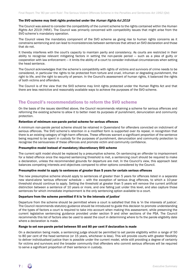#### The SVO scheme may limit rights protected under the Human Rights Act 2019

The Council was asked to consider the compatibility of the current scheme to the rights contained within the *Human Rights Act 2019* ('HRA'). The Council was primarily concerned with compatibility issues that might arise from the SVO scheme's mandatory operation.

The Council views the mandatory component of the SVO scheme as giving rise to human rights concerns as it constrains sentencing and can lead to inconsistencies between sentences that attract an SVO declaration and those that do not.

It thereby interferes with the court's capacity to maintain parity and consistency. As courts are restricted in their ability to recognise relevant mitigating factors in setting the non-parole period — such as a plea of guilty or cooperation with law enforcement — it limits the ability of a court to consider individual circumstances when setting the head sentence.

The Council acknowledges that the scheme's compatibility with rights of victims and survivors of crime needs to be considered, in particular the rights to be protected from torture and cruel, inhuman or degrading punishment, the right to life, and the right to security of person. In the Council's assessment of human rights, it balanced the rights of both victims and offenders.

The Council is of the view that the SVO scheme may limit rights protected under the Human Rights Act and that there are less restrictive and reasonably available ways to achieve the purposes of the SVO scheme.

## The Council's recommendations to reform the SVO scheme

On the basis of the issues identified above, the Council recommends retaining a scheme for serious offences and reforming the existing scheme to allow it to better meet its purposes of punishment, denunciation and community protection.

#### Retention of minimum non-parole period scheme for serious offences

A minimum non-parole period scheme should be retained in Queensland for offenders convicted on indictment of serious offences. The SVO scheme's retention in a modified form is supported over its repeal, in recognition that there is an existing category of high-harm offences. These offences warrant a significant proportion of the sentence being required to be spent in custody for the purposes of punishment, denunciation and community protection to recognise the seriousness of these offences and promote victim and community confidence.

#### Presumptive model instead of mandatory/discretionary SVO scheme

The current split model should be replaced by a presumptive scheme. On sentencing an offender to imprisonment for a listed offence once the required sentencing threshold is met, a sentencing court should be required to make a declaration, unless the recommended grounds for departure are met. In the Council's view, this approach best balances competing interests and objectives compared to other options considered by the Council.

#### Presumptive model to apply to sentences of greater than 5 years for certain serious offences

The new presumptive scheme should apply to sentences of greater than 5 years for offences listed in a separate new stand-alone 'serious offences' schedule — with the exception of serious drug offences, to which a 10-year threshold should continue to apply. Setting the threshold at greater than 5 years will remove the current artificial distinction between a sentence of 10 years or more, and one falling just under this level, and also capture those sentences for which immediate imprisonment is the only sentencing option available to a court.

#### Departure from the scheme permitted if it is 'in the interests of justice'

Departure from the scheme should be permitted where a court is satisfied that this is 'in the interests of justice'. The Council recommends statutory guidance should be introduced to guide this decision to promote understanding of the types of factors a court is required to take into account when making this assessment, while preserving the current legislative sentencing guidance provided under section 9 and other sections of the PSA. The Council recommends this list of factors also be used to assist the court in determining where to fix the parole eligibility date where a declaration is made.

#### Range to set non-parole period between 50 and 80 per cent if declaration is made

On a declaration being made, a sentencing judge should be permitted to set parole eligibility within a range of 50 to 80 per cent of the head sentence (or 15 years, whichever is less). This will provide courts with greater flexibility to deliver individualised justice than is possible under the current model, while still providing a degree of certainty for victims and survivors and the broader community that offenders who commit serious offences will be required to serve a significant proportion of their sentence in custody.

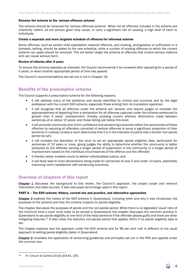#### Rename the scheme to the 'serious offences scheme'

The scheme should be renamed the 'serious offences scheme'. While not all offences included in the scheme are inherently violent, all are serious given they cause, or carry a significant risk of causing, a high level of harm to individuals.

#### Create a separate and more targeted schedule of offences for reformed scheme

Some offences, such as certain child exploitation material offences, and choking, strangulation or suffocation in a domestic setting, should be added to the new schedule, while a number of existing offences to which the current scheme can apply should be removed. This will better target the scheme at offences that involve serious violence and can cause serious harm.

#### Review of reforms after 5 years

To ensure the scheme operates as intended, the Council recommends it be reviewed after operating for a period of 5 years, or when another appropriate period of time has passed.

The Council's recommendations are set out in full in Chapter 18.

### Benefits of the presumptive scheme

The Council supports a presumptive scheme for the following reasons:

- it will address many of the problems and issues identified by victims and survivors and by the legal profession with the current SVO scheme, especially those arising from its mandatory operation;
- it will recognise that all offences under the scheme are 'serious' and require judges to consider the appropriateness of departing from a declaration for all offences captured under the scheme sentenced to greater than 5 years' imprisonment, thereby avoiding current arbitrary distinctions made between sentences at or above 10 years, and those falling just below this level;
- it will promote community and victim confidence that sentencing outcomes reflect the seriousness of these offences by requiring all offenders convicted of serious offences to serve a significant proportion of their sentence in custody (unless a court determines that it is in the interests of justice that a shorter non-parole period be set);
- it will increase the discretion of the court to set an appropriate parole eligibility date, particularly for sentences of 10 years or more, giving judges the ability to determine whether the community is better protected by the offender serving a longer period of supervision in the community or a longer period of imprisonment based on the individual circumstances of the offence and the offender;
- it thereby better enables courts to deliver individualised justice; and
- it will likely lead to more declarations being made for sentences of over 5 and under 10 years, potentially improving victim satisfaction with sentencing outcomes.

### Overview of chapters of this report

Chapter 1 discusses the background to this review, the Council's approach, the project scope and relevant information and data sources. It also discusses terminology used in this report.

#### PART A – The SVO scheme: History, current law and practice, and alternative approaches

Chapter 2 explores the history of the SVO scheme in Queensland, including when and why it was introduced, the purposes of the scheme and how the scheme impacts on parole eligibility.

The chapter discusses the purposes of parole and the non-parole period. While there is no legislated 'usual' ratio of the minimum time a court must order to be served in Queensland, the chapter discusses the common practice in Queensland to set parole eligibility at one-third of the head sentence if the offender pleads guilty and there are other mitigating features.[10](#page-8-0) It also notes the statutory non-parole period that applies (50%) if no parole eligibility date is set.

The chapter explores how the approach under the SVO scheme and its '80 per cent rule' is different to the usual approach to setting parole eligibility dates in Queensland.

Chapter 3 considers the application of sentencing guidelines and principles set out in the PSA and applied under the common law.

<span id="page-8-0"></span><sup>10</sup> *R v Crouch & Carlisle* [2016] QCA 81, [29].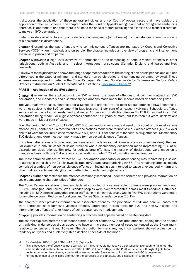It discusses the application of these general principles and key Court of Appeal cases that have guided the application of the SVO scheme. The chapter notes the Court of Appeal's recognition that an 'integrated sentencing approach' is appropriate and that there is no need for 'special factors justifying the exercise of a distinct discretion' to make an SVO declaration.<sup>11</sup>

It also considers what factors support a declaration being made (or not made) in circumstances where the making of a declaration is discretionary.

Chapter 4 examines the way offenders who commit serious offences are managed by Queensland Corrective Services ('QCS') when in custody and on parole. The chapter includes an overview of programs and interventions available in prison and on parole.

Chapter 5 provides a high level overview of approaches to the sentencing of serious violent offences in other jurisdictions, both in Australia and in select international jurisdictions (Canada, England and Wales and New Zealand).

A review of these jurisdictions shows the range of approaches taken to the setting of non-parole periods and outlines differences in the types of minimum and standard non-parole period and sentencing schemes reviewed. These schemes are explored in detail in the Council's paper, *Minimum Non-Parole Period Schemes for Serious Violent Offences in Australia and Select International Jurisdictions [\(Background Paper 2\)](https://www.sentencingcouncil.qld.gov.au/__data/assets/pdf_file/0004/692995/svo-scheme-review-background-paper-2-mnpp-schemes-in-australia-and-overseas.pdf).* 

#### PART B – Application of the SVO scheme

Chapter 6 examines the application of the SVO scheme, the types of offences that commonly attract an SVO declaration, and mandatory and discretionary declarations made under the scheme based on sentencing data.

The vast majority of cases sentenced for a Schedule 1 offence (for the most serious offence ('MSO') sentenced) were not subject to the SVO scheme.<sup>[12](#page-9-1)</sup> In fact, less than 1 per cent of all cases involving a Schedule 1 offence sentenced across all court levels, and just under 16 per cent of eligible offences<sup>[13](#page-9-2)</sup> (15.8%) resulted in an SVO declaration being made. For eligible offences sentenced to 5 years or more, but less than 10 years, declarations were made in 4.8 per cent of cases.

Over the period 2011–12 to 2019–20, 437 SVO declarations were made (based on a count of the most serious offence (MSO) sentenced). Almost half of all declarations made were for non-sexual violence offences (46.5%), over one-third were for sexual violence offences (37.5%) and 14.9 per cent were for serious drug offences. Discretionary SVO declarations were most commonly made for non-sexual violence offences.

In contrast, discretionary SVO declarations were rarely made for sexual violence offences or serious drug offences. For example, in only 18 cases of sexual violence was a discretionary declaration made (representing 11% of all discretionary declarations). Similarly, for serious drug offences, the majority of declarations were made on a mandatory basis, with only 5 discretionary declarations made (7.7% of discretionary declarations).

The most common offence to attract an SVO declaration (mandatory or discretionary) was maintaining a sexual relationship with a child (n=91), followed by rape (n=71) and drug trafficking (n=65). The remaining offences mostly comprised a variety of non-sexual violence offences — including acts intended to cause grievous bodily harm and other malicious acts, manslaughter, and attempted murder, amongst others.

Chapter 7 further characterises the offences commonly sentenced under the scheme and provides information on socio-demographic characteristics of offenders.

The Council's analysis shows offenders declared convicted of a serious violent offence were predominantly men (96.3%). Aboriginal and Torres Strait Islander peoples were over-represented across most Schedule 1 offences, including all SVO offence categories except trafficking in dangerous drugs. One in five SVO declarations were made for an offence committed by an Aboriginal and Torres Strait Islander person (20.1%).

The chapter further provides information on associated offences, the proportion of SVO and non-SVO cases that were sentenced as a domestic violence offence, differences in plea rates for SVO and non-SVO cases and information on offenders' prior history of being sentenced to imprisonment.

Chapter 8 provides information on sentencing outcomes and appeals based on sentencing data.

The chapter explores patterns of sentence distribution for common SVO declared offences, finding that the offence of trafficking in dangerous drugs appears to have an increased number of cases sentenced at the 9-year mark, relative to sentences of 8 and 10 years. The distribution for manslaughter, in comparison, showed a clear central tendency at 9 years and a relatively steep decline either side of the mode.

<span id="page-9-0"></span><sup>11</sup> *R v Eveleigh* [2003] 1 Qd R 398, 413 [53] (Fryberg J).

<span id="page-9-1"></span><sup>12</sup> This is because the offence was not dealt with on indictment, did not receive a sentence long enough to fall under the scheme (based on the criteria under ss 161(1), 161B(1) and 161b(2) of the PSA), or because although eligible for a declaration under the scheme, a declaration was not made. See section 1.7.1 for how the MSO is determined.

<span id="page-9-2"></span><sup>13</sup> For the definition of an 'eligible offence' for the purposes of this analysis, see discussion in Chapter 6.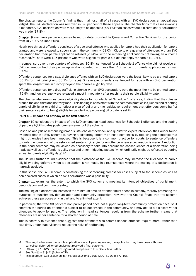The chapter reports the Council's finding that in almost half of all cases with an SVO declaration, an appeal was lodged. The SVO declaration was removed in 6.8 per cent of these appeals. The chapter finds that cases involving a mandatory SVO declaration were more likely to be appealed (48.1%) than cases where a discretionary declaration was made (37.8%).

Chapter 9 examines parole outcomes based on data provided by Queensland Corrective Services for the period from July 1997 to June 2020.

Nearly two-thirds of offenders convicted of a declared offence who applied for parole had their application for parole granted and were released to supervision in the community (63.0%). Close to one-quarter of offenders with an SVO declaration had their parole application refused (23.4%), with the remaining applications not having an outcome recorded.[14](#page-10-0) There were 135 prisoners who were eligible for parole but did not apply for parole (17.9%).

In comparison, over three quarters of offenders (80.8%) sentenced for a Schedule 1 offence who did not receive an SVO declaration had their parole application granted, with less than 10 per cent of parole applications refused (9.0%).

Offenders sentenced for a sexual violence offence with an SVO declaration were the least likely to be granted parole (35.1% for maintaining and 38.1% for rape). On average, offenders sentenced for rape with an SVO declaration spent the longest time in custody beyond their parole eligibility date.

Offenders sentenced for a drug trafficking offence with an SVO declaration, were the most likely to be granted parole (75.9%) and, on average, were released almost immediately after reaching their parole eligibility date.

The chapter also examines parole eligibility dates for non-declared Schedule 1 offences, finding that they cluster around the one-third and half-way mark. This finding is consistent with the common practice in Queensland of setting parole eligibility at one-third to reflect a plea of guilty and the legislative requirement that offenders serve half of their sentence prior to being eligible for parole if no parole eligibility date is set.[15](#page-10-1)

#### PART C – Impact and efficacy of the SVO scheme

Chapter 10 considers the impacts of the SVO scheme on head sentences for Schedule 1 offences and the setting of parole eligibility dates post-commencement of the scheme.

Based on analysis of sentencing remarks, stakeholder feedback and qualitative expert interviews, the Council found evidence that the SVO scheme is having a 'distorting effect'[16](#page-10-2) on head sentences by reducing the sentence that might otherwise have been imposed. This is because it is a common practice for courts to sentence offenders towards the lower end of the established sentencing range for an offence where a declaration is made. A reduction in the head sentence may be viewed as necessary to take into account the consequences of a declaration being made as well as an offender's guilty plea and other mitigating factors (which ordinarily might be reflected by setting an earlier parole eligibility date).<sup>[17](#page-10-3)</sup>

The Council further found evidence that the existence of the SVO scheme may increase the likelihood of parole eligibility being deferred when a declaration is not made, in circumstances where the making of a declaration is narrowly avoided.

In this sense, the SVO scheme is constraining the sentencing process for cases subject to the scheme as well as non-declared cases in which an SVO declaration was a possibility.

Chapter 11 examines the extent to which the SVO scheme is meeting its intended objectives of punishment. denunciation and community safety.

The making of a declaration increases the minimum time an offender must spend in custody, thereby promoting the purposes of punishment, denunciation and community protection. However, the Council found that the scheme achieves these purposes only in part and to a limited extent.

In particular, the fixed 80 per cent non-parole period does not support long-term community protection because it shortens the period an offender is subject to be supervised in the community, and may act as a disincentive for offenders to apply for parole. The reduction in head sentences resulting from the scheme further means that offenders are under sentence for a shorter period of time.

This is contrary to evidence that suggests that offenders who commit serious offences require more, rather than less time, under supervision to reduce the risks of reoffending.

<span id="page-10-0"></span><sup>14</sup> This may be because the parole application was still pending review, the application may have been withdrawn, cancelled, deferred, or otherwise not received a final outcome.

<span id="page-10-1"></span><sup>15</sup> CSA (n [3\)](#page-4-4) s 184(2). There are legislated exceptions to this. See s 184 further.<br>16 See Sprott (n 8) [41] (Sofronoff P).

<span id="page-10-2"></span>

<span id="page-10-3"></span><sup>17</sup> This approach was explained in *R v McDougall and Collas* [2007] 2 Qd R 87, [19].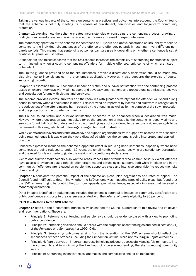Taking the various impacts of the scheme on sentencing practices and outcomes into account, the Council found that the scheme is not fully meeting its purposes of punishment, denunciation and longer-term community protection.

Chapter 12 explains how the scheme creates inconsistencies or constrains the sentencing process, drawing on findings from consultation, submissions received, and views expressed in expert interviews.

The mandatory operation of the scheme for sentences of 10 years and above constrains courts' ability to tailor a sentence to the individual circumstances of the offence and offender, potentially resulting in very different nonparole periods. This means that sentencing outcomes can vary greatly depending on whether a sentence is set at or above 10 years, or just below.

Stakeholders also raised concerns that the SVO scheme increases the complexity of sentencing for offences subject to it — including when a court is sentencing offenders for multiple offences, only some of which are listed in Schedule 1.

The limited guidance provided as to the circumstances in which a discretionary declaration should be made may also give rise to inconsistencies in the scheme's application. However, it also supports the exercise of courts' sentencing discretion.

Chapter 13 examines the SVO scheme's impact on victim and survivor satisfaction with the sentencing process based on expert interviews with victim support and advocacy organisations and prosecutors, submissions received and consultation forums with victims and survivors.

The scheme provides victims, survivors and their families with greater certainty that the offender will spend a long period in custody when a declaration is made. This is viewed as important by victims and survivors in recognition of the seriousness of the offending and harm caused by the offending, as well as for the purpose of their own protection and the protection of the broader community.

The Council found victim and survivor satisfaction appeared to be enhanced when a declaration was made. However, where a declaration was not asked for by the prosecution or made by the sentencing judge, victims and survivors found it difficult to understand why the offending was not considered to be 'seriously violent enough' to be recognised in this way, which led to feelings of anger, hurt and frustration.

While victims and survivors and victim advocacy and support organisations were supportive of some form of scheme being retained, equally it was clear they were dissatisfied with how the scheme is being interpreted and applied in practice.

Concerns expressed included the scheme's apparent effect in reducing head sentences, especially where head sentences are being reduced to under 10 years, the small number of cases receiving a discretionary declaration and the need for clear criteria to guide the making of discretionary declarations.

Victim and survivor stakeholders also wanted reassurances that offenders who commit serious violent offences have access to evidence-based rehabilitation programs and psychological support, both while in prison and in the community. If offenders are released on parole, they supported close and intensive supervision to reduce the risks of reoffending.

Chapter 14 considers the potential impact of the scheme on pleas, plea negotiations and rates of appeal. The Council found it difficult to determine whether the SVO scheme was impacting rates of guilty pleas, but found that the SVO scheme might be contributing to more appeals against sentence, especially in cases that received a mandatory declaration.

Other impacts identified by stakeholders included the scheme's potential to impact on community satisfaction and public confidence and costs to the system associated with the deferral of parole eligibility to 80 per cent.

#### PART D – Reforms to the SVO scheme

Chapter 15 sets out the fundamental principles which shaped the Council's approach to this review and its advice and recommendations. These are:

- Principle 1: Reforms to sentencing and parole laws should be evidence-based with a view to promoting public confidence.
- Principle 2: Sentencing decisions should accord with the purposes of sentencing as outlined in section 9(1) of the *Penalties and Sentences Act 1992* (Qld).
- Principle 3: Sentencing outcomes arising from the operation of the SVO scheme should reflect the seriousness of these offences, including their impact on victims, while not resulting in unjust outcomes.
- Principle 4: Parole serves an important purpose in helping prisoners successfully and safely reintegrate into the community and in minimising the likelihood of a person reoffending, thereby promoting community safety.
- Principle 5: Sentencing inconsistencies, anomalies and complexities should be minimised.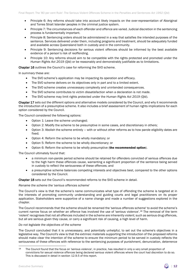- Principle 6: Any reforms should take into account likely impacts on the over-representation of Aboriginal and Torres Strait Islander peoples in the criminal justice system.
- Principle 7: The circumstances of each offender and offence are varied. Judicial discretion in the sentencing process is fundamentally important.
- Principle 8: Sentencing orders should be administered in a way that satisfies the intended purposes of the sentence. Services delivered under them, including programs and treatment, should be adequately funded and available across Queensland both in custody and in the community.
- Principle 9: Sentencing decisions for serious violent offences should be informed by the best available evidence of a person's risk of reoffending.
- Principle 10: Any reforms should aim to be compatible with the rights protected and promoted under the *Human Rights Act 2019* (Qld) or be reasonably and demonstrably justifiable as to limitations.

Chapter 16 outlines the Council's case for reforming the SVO scheme.

In summary these are:

- The SVO scheme's application may be impacting its operation and efficacy.
- The SVO scheme delivers on its objectives only in part and to a limited extent.
- The SVO scheme creates unnecessary complexity and unintended consequences.
- The SVO scheme contributes to victim dissatisfaction when a declaration is not made.
- The SVO scheme may limit rights protected under the *Human Rights Act 2019* (Qld).

Chapter 17 sets out the different options and alternative models considered by the Council, and why it recommends the introduction of a presumptive scheme. It also includes a brief assessment of human rights implications for each option considered by the Council.

The Council considered the following options:

- Option 1: Leave the scheme unchanged;
- Option 2: Modify the scheme to be presumptive in some cases, and discretionary in others;
- Option 3: Abolish the scheme entirely with or without other reforms as to how parole eligibility dates are fixed;
- Option 4: Reform the scheme to be wholly mandatory; or
- Option 5: Reform the scheme to be wholly discretionary; or
- Option 6: Reform the scheme to be wholly presumptive (the recommended option).

The Council ultimately found that:

- a minimum non-parole period scheme should be retained for offenders convicted of serious offences due to the high harm these offences cause, warranting a significant proportion of the sentence being served in custody to reflect the seriousness of these offences; and
- a presumptive scheme balances competing interests and objectives best, compared to the other options considered by the Council.

Chapter 18 sets out the Council's recommended reforms to the SVO scheme in detail.

#### *Rename the scheme the* '*serious offences scheme*'

The Council's view is that the scheme's name communicates what type of offending the scheme is targeted at in the interests of promoting community understanding and guiding courts and legal practitioners on its proper application. Stakeholders were supportive of a name change and made a number of suggestions explored in the chapter.

The Council recommends that the scheme should be renamed the 'serious offences scheme' to avoid the scheme's current narrow focus on whether an offence has involved the use of 'serious violence'.[18](#page-12-0) The removal of the term 'violent' recognises that not all offences included in the scheme are inherently violent; such as serious drug offences, but all are serious given they cause, or carry a significant risk of causing, a high level of harm.

#### *Do not legislate the objectives of the scheme*

The Council concluded that it is unnecessary, and potentially unhelpful, to set out the scheme's objectives in a legislative way. The Council's view is that the extrinsic materials supporting the introduction of the proposed reforms should make clear the intention of the scheme to ensure the minimum period to be served in custody reflects the seriousness of these offences with reference to the sentencing purposes of punishment, denunciation, deterrence



<span id="page-12-0"></span><sup>18</sup> The Council found that the focus on 'serious violence', in practice, has resulted in only a very small proportion of convictions for sexual violence offences being declared serious violent offences where the court had discretion to do so. This is discussed in detail in section 12.9.5 of this report.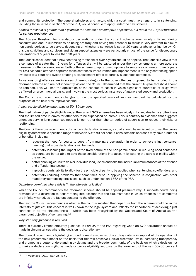and community protection. The general principles and factors which a court must have regard to in sentencing, including those listed in section 9 of the PSA, would continue to apply under the new scheme.

#### *Adopt a threshold of greater than 5 years for the scheme's presumptive application, but retain the 10-year threshold for serious drug offences*

The 10-year threshold for mandatory declarations under the current scheme was widely criticised during consultations and in submissions as being arbitrary and having the potential to result in very different minimum non-parole periods to be served, depending on whether a sentence is set at 10 years or above, or just below. On this basis, victims and survivors and victim support agencies were particularly critical of the range for discretionary declarations of 5 years to less than 10 years.

The Council concluded that a new sentencing threshold of over 5 years should be applied. The Council's view is that a sentence of greater than 5 years for offences that will be captured under the new scheme is a more accurate measure of offence seriousness. Setting the scheme to apply presumptively to sentences of greater than 5 years for SVO schedule offences captures those sentences where immediate imprisonment is the only sentencing option available to a court and avoids creating a displacement effect to partially suspended sentences.

As serious drug offences are in a very different category to the other offences proposed to be included in the reformed scheme and are not inherently violent, the Council determined that the current 10-year threshold should be retained. This will limit the application of the scheme to cases in which significant quantities of drugs were trafficked on a commercial basis, and involving the most serious instances of aggravated supply and production.

The Council also recommends changes to how the specified years of imprisonment will be calculated for the purposes of the new presumptive scheme.

#### *A new parole eligibility date range of 50–80 per cent*

The fixed nature of parole eligibility under the current SVO scheme has been widely criticised due to its arbitrariness and the limited time it leaves for offenders to be supervised on parole. This is contrary to evidence that suggests offenders serving long sentences need a longer rather than shorter period of supervision to reduce their risks of reoffending.

The Council therefore recommends that once a declaration is made, a court should have discretion to set the parole eligibility date within a specified range of between 50 to 80 per cent. It considers this approach may have a number of benefits, including:

- reducing the need for courts to depart from making a declaration in order to achieve a just sentence, meaning that more declarations will be made;
- potentially lessening the impact of the fixed nature of the non-parole period in reducing head sentences as courts are better able to take those considerations into account by setting the parole eligibility within the range;
- better enabling courts to deliver individualised justice and take the individual circumstances of the offence and offender into account;
- improving courts' ability to allow for the principle of parity to be applied when sentencing co-offenders; and
- potentially reducing problems that sometimes arise in applying the scheme in conjunction with other mandatory sentencing provisions, such as under section 156A of the PSA.

#### *Departure permitted where this is* '*in the interests of justice*'

While the Council recommends the reformed scheme should be applied presumptively, it supports courts being provided with a discretion to depart taking into account that the circumstances in which offences are committed are infinitely varied, as are factors personal to the offender.

The test the Council recommends is whether the court is satisfied that departure from the scheme would be 'in the interests of justice'. This concept is well known to the legal system and reflects the importance of achieving a just sentence in all the circumstances — which has been recognised by the Queensland Court of Appeal as 'the paramount objective of sentencing'.[19](#page-13-0)

#### *Why statutory guidance is required*

There is currently limited statutory guidance in Part 9A of the PSA regarding when an SVO declaration should be made in circumstances where the decision is discretionary.

The Council recommends legislating a broad non-exhaustive list of statutory criteria in support of the operation of the new presumptive model on the basis that this will preserve judicial discretion, while increasing transparency and promoting a better understanding by victims and the broader community of the basis on which a decision not to make a declaration might be made or parole eligibility set towards the lower end of the new 50–80 per cent

<span id="page-13-0"></span><sup>19</sup> *R v Randall* [2019] QCA 25, [37].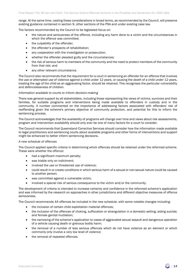range. At the same time, casting these considerations in broad terms, as recommended by the Council, will preserve existing guidance contained in section 9, other sections of the PSA and under existing case law.

The factors recommended by the Council to be legislated focus on:

- the nature and seriousness of the offence, including any harm done to a victim and the circumstances in which the offence was committed;
- the culpability of the offender;
- the offender's prospects of rehabilitation;
- any cooperation with the investigation or prosecution;
- whether the offender pleaded guilty and the circumstances;
- the risk of serious harm to members of the community and the need to protect members of the community from that risk; and
- any other relevant circumstance.

The Council also recommends that the requirement for a court in sentencing an offender for an offence that involves the use or attempted use of violence against a child under 12 years, or causing the death of a child under 12 years, treating the age of the child as an aggravating factor, should be retained. This recognises the particular vulnerability and defencelessness of children.

#### *Information available to courts to inform decision-making*

There was general support by all stakeholders, including those representing the views of victims, survivors and their families, for suitable programs and interventions being made available to offenders in custody and in the community. A number commented on the importance of addressing factors associated with offenders' risk of reoffending given the scheme's primary objective of community protection, and potential for this to inform the sentencing process.

The Council acknowledges that the availability of programs will change over time and views about risk assessments, program and intervention availability should only ever be one of many factors for a court to consider.

The Council recommends that Queensland Corrective Services should consider how the information made available to legal practitioners and sentencing courts about available programs and other forms of interventions and support might be enhanced to better inform sentencing decisions.

#### *A new schedule of offences*

The Council applied specific criteria in determining which offences should be retained under the reformed scheme. These were whether the offence:

- had a significant maximum penalty;
- was triable only on indictment;
- involved the use or threatened use of violence;
- could result in or create conditions in which serious harm of a sexual or non-sexual nature could be caused to another person;
- was committed against a vulnerable victim;
- involved a special risk of serious consequence to the victim and/or the community.

The development of criteria is intended to increase certainty and confidence in the reformed scheme's application and was informed by the research on approaches in other jurisdictions and different objective measures of offence seriousness.

The Council recommends 44 offences be included in the new schedule, with some notable changes including:

- the inclusion of certain child exploitation material offences;
- the inclusion of the offences of choking, suffocation or strangulation in a domestic setting; aiding suicide; and female genital mutilation;
- the narrowing of the scheme's application to cases of aggravated sexual assault and dangerous operation of a vehicle causing death or grievous bodily harm;
- the removal of a number of less serious offences which do not have violence as an element or which commonly only involve a very low level of violence;
- the removal of repealed offences.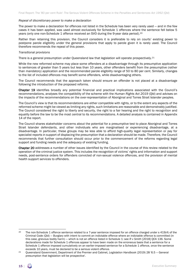#### *Repeal of discretionary power to make a declaration*

The power to make a declaration for offences not listed in the Schedule has been very rarely used — and in the few cases it has been applied, was used almost exclusively for Schedule 1 offences where the sentence fell below 5 years (only one non-Schedule 1 offence received an SVO during the 9-year data period).[20](#page-15-0)

Rather than retaining this provision, the Council considers it is preferable to rely on courts' existing power to postpone parole eligibility under the general provisions that apply to parole given it is rarely used. The Council therefore recommends the repeal of this power.

#### *Transitional provisions*

There is a general presumption under Queensland law that legislation will operate prospectively.<sup>[21](#page-15-1)</sup>

While the new reformed scheme may place some offenders at a disadvantage through its presumptive application to sentences of greater than 5 years but less than 10 years, other offenders benefit from the presumptive (rather than mandatory) application and the recommended parole eligibility range of 50 to 80 per cent. Similarly, changes to the list of included offences may benefit some offenders, while disadvantaging others.

The Council recommends that the approach taken should ensure an offender is not placed at a disadvantage following the introduction of the proposed reforms.

Chapter 19 identifies broadly any potential financial and practical implications associated with the Council's recommendations, analyses the compatibility of the scheme with the *Human Rights Act 2019* (Qld) and advises on the impacts of the recommendations on the over-representation of Aboriginal and Torres Strait Islander peoples.

The Council's view is that its recommendations are either compatible with rights, or to the extent any aspects of the reformed scheme might be viewed as limiting any rights, such limitations are reasonable and demonstrably justified. The Council considered the right to liberty and security, the right to a fair hearing and the right to recognition and equality before the law to be the most central to its recommendations. A detailed analysis is contained in Appendix 14 of the report.

The Council shares stakeholder concerns about the potential for a presumptive test to place Aboriginal and Torres Strait Islander defendants, and other individuals who are marginalised or experiencing disadvantage, at a disadvantage. In particular, these groups may be less able to afford high-quality legal representation or pay for specialist reports in support of displacing the presumption that a declaration should be made. Therefore, the Council recommends that further consultation should occur prior to the commencement of the reforms regarding legal support and funding needs and the adequacy of existing funding.

Chapter 20 addresses a number of other issues identified by the Council in the course of this review related to the operation of the criminal justice system. This includes the recognition of victims' rights and information and support needs, post-sentence orders for offenders convicted of non-sexual violence offences, and the provision of mental health support services to offenders.

<span id="page-15-0"></span><sup>&</sup>lt;sup>20</sup> The non-Schedule 1 offence sentence related to a 7-year sentence imposed for an offence charged under s 419(4) of the Criminal Code (Qld) — Burglary with intent to commit an indictable offence where an indictable offence is committed (in this case, grievous bodily harm) — which is not an offence listed in Schedule 1: see *R v Smith* [2018] QCA 136. Some declarations made for Schedule 1 offences appear to have been made on the erroneous basis that a sentence for a Schedule 1 offence imposed cumulatively on an earlier-imposed sentence for a Schedule 1 offence, once the sentence exceeds 10 years, must be declared to be a serious violent offence.

<span id="page-15-1"></span><sup>21</sup> Queensland Government, Department of the Premier and Cabinet, *Legislation Handbook* (2019) 28 '6.5 — General presumption that legislation will be prospective'.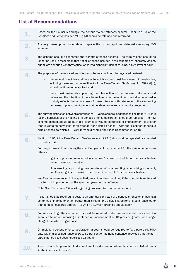## List of Recommendations

| 1.  | Based on the Council's findings, the serious violent offences scheme under Part 9A of the<br>Penalties and Sentences Act 1992 (Qld) should be retained and reformed.                                                                                                                                                                                                                                                                                                           |
|-----|--------------------------------------------------------------------------------------------------------------------------------------------------------------------------------------------------------------------------------------------------------------------------------------------------------------------------------------------------------------------------------------------------------------------------------------------------------------------------------|
| 2.  | A wholly presumptive model should replace the current split mandatory/discretionary SVO<br>scheme.                                                                                                                                                                                                                                                                                                                                                                             |
|     | The scheme should be renamed the 'serious offences scheme'. The term 'violent' should no<br>longer be used in recognition that not all offences included in the scheme are inherently violent,<br>but all are serious given they cause, or carry a significant risk of causing, a high level of harm.                                                                                                                                                                          |
| 4.  | The purposes of the new serious offences scheme should not be legislated. Instead:                                                                                                                                                                                                                                                                                                                                                                                             |
|     | the general principles and factors to which a court must have regard in sentencing,<br>a.<br>including those set out in section 9 of the Penalties and Sentences Act 1992 (Qld),<br>should continue to be applied; and                                                                                                                                                                                                                                                         |
|     | the extrinsic materials supporting the introduction of the proposed reforms should<br>b.<br>make clear the intention of the scheme to ensure the minimum period to be served in<br>custody reflects the seriousness of these offences with reference to the sentencing<br>purposes of punishment, denunciation, deterrence and community protection.                                                                                                                           |
| 5.  | The current distinction between sentences of 10 years or more, and those falling under 10 years<br>for the purposes of the making of a serious offence declaration should be removed. The new<br>scheme instead should apply in a presumptive way to sentences of imprisonment of greater<br>than 5 years on conviction of an offender for a listed offence - with the exception of serious<br>drug offences, to which a 10-year threshold should apply (see Recommendation 8) |
| 6.  | Section 161C of the Penalties and Sentences Act 1992 (Qld) should be repealed or amended<br>to provide that:                                                                                                                                                                                                                                                                                                                                                                   |
|     | For the purposes of calculating the specified years of imprisonment for the new scheme for an<br>offence:                                                                                                                                                                                                                                                                                                                                                                      |
|     | against a provision mentioned in schedule 1 (current schedule) or the new schedule<br>a.<br>(under the new scheme); or                                                                                                                                                                                                                                                                                                                                                         |
|     | of counselling or procuring the commission of, or attempting or conspiring to commit,<br>b.<br>an offence against a provision mentioned in schedule 1 or the new schedule;                                                                                                                                                                                                                                                                                                     |
|     | an offender is sentenced to the specified years of imprisonment only if the offender is sentenced<br>to a term of imprisonment of the specified years for that offence.                                                                                                                                                                                                                                                                                                        |
|     | Note: See Recommendation 24 regarding proposed transitional provisions.                                                                                                                                                                                                                                                                                                                                                                                                        |
| 7.  | A court should be required to declare an offender convicted of a serious offence on imposing a<br>sentence of imprisonment of greater than 5 years for a single charge for a listed offence, other<br>than for a serious drug offence - to which a 10-year threshold should apply.                                                                                                                                                                                             |
| 8.  | For serious drug offences, a court should be required to declare an offender convicted of a<br>serious offence on imposing a sentence of imprisonment of 10 years or greater for a single<br>charge for a listed drug offence.                                                                                                                                                                                                                                                 |
| 9   | On making a serious offence declaration, a court should be required to fix a parole eligibility<br>date within a specified range of 50 to 80 per cent of the head sentence, provided that the non-<br>parole period fixed does not exceed 15 years.                                                                                                                                                                                                                            |
| 10. | A court should be permitted to decline to make a declaration where the court is satisfied this is<br>'in the interests of justice'.                                                                                                                                                                                                                                                                                                                                            |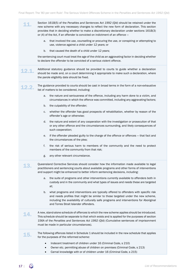|              | Section 161B(5) of the Penalties and Sentences Act 1992 (Qld) should be retained under the<br>new scheme with any necessary changes to reflect the new form of declaration. This section<br>provides that in deciding whether to make a discretionary declaration under sections 161B(3)<br>or (4) of the Act, if an offender is convicted on indictment of an offence - |
|--------------|--------------------------------------------------------------------------------------------------------------------------------------------------------------------------------------------------------------------------------------------------------------------------------------------------------------------------------------------------------------------------|
|              | that involved the use, counselling or procuring the use, or conspiring or attempting to<br>a.<br>use, violence against a child under 12 years; or                                                                                                                                                                                                                        |
|              | that caused the death of a child under 12 years;<br>b.                                                                                                                                                                                                                                                                                                                   |
|              | the sentencing court must treat the age of the child as an aggravating factor in deciding whether<br>to declare the offender to be convicted of a serious violent offence.                                                                                                                                                                                               |
| <u>12.1.</u> | Additional statutory guidance should be provided to courts to guide whether a declaration<br>should be made and, on a court determining it appropriate to make such a declaration, where<br>the parole eligibility date should be fixed.                                                                                                                                 |
| 12.2.        | The guidance provided to courts should be cast in broad terms in the form of a non-exhaustive<br>list of matters to be considered, including:                                                                                                                                                                                                                            |
|              | the nature and seriousness of the offence, including any harm done to a victim, and<br>a.<br>circumstances in which the offence was committed, including any aggravating factors;                                                                                                                                                                                        |
|              | the culpability of the offender;<br>b.                                                                                                                                                                                                                                                                                                                                   |
|              | whether the offender has good prospects of rehabilitation, whether by reason of the<br>c.<br>offender's age or otherwise;                                                                                                                                                                                                                                                |
|              | the nature and extent of any cooperation with the investigation or prosecution of that<br>d.<br>or any other offence and the circumstances surrounding, and likely consequences of<br>such cooperation;                                                                                                                                                                  |
|              | if the offender pleaded guilty to the charge of the offence or offences – that fact and<br>е.<br>the circumstances of the plea;                                                                                                                                                                                                                                          |
|              | f.<br>the risk of serious harm to members of the community and the need to protect<br>members of the community from that risk;                                                                                                                                                                                                                                           |
|              | any other relevant circumstance.<br>g.                                                                                                                                                                                                                                                                                                                                   |
| 13.          | Queensland Corrective Services should consider how the information made available to legal<br>practitioners and sentencing courts about available programs and other forms of interventions<br>and support might be enhanced to better inform sentencing decisions, including:                                                                                           |
|              | the suite of programs and other interventions currently available to offenders both in<br>a.<br>custody and in the community and what types of issues and needs these are targeted<br>at;                                                                                                                                                                                |
|              | what programs and interventions are typically offered to offenders with specific risk<br>b.<br>and needs profiles that might be similar to those targeted under the new scheme,<br>including the availability of culturally safe programs and interventions for Aboriginal<br>and Torres Strait Islander offenders.                                                      |
| 14.          | A new, stand-alone schedule of offences to which the new scheme applies should be introduced.<br>This schedule should be separate to that which exists and is applied for the purposes of section<br>156A of the Penalties and Sentences Act 1992 (Qld) (Cumulative sentences of imprisonment<br>must be made in particular circumstances).                              |
| 15.          | The following offences listed in Schedule 1 should be included in the new schedule that applies<br>for the purposes of the reformed scheme:                                                                                                                                                                                                                              |
|              | Indecent treatment of children under 16 (Criminal Code, s 210)<br>$\bullet$<br>Owner etc. permitting abuse of children on premises (Criminal Code, s 213)<br>$\bullet$<br>Carnal knowledge with or of children under 16 (Criminal Code, s 215)<br>$\bullet$                                                                                                              |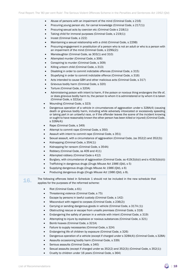- Abuse of persons with an impairment of the mind (Criminal Code, s 216)
- Procuring young person etc. for carnal knowledge (Criminal Code, s 217(1))
- Procuring sexual acts by coercion etc (Criminal Code s 218(1))
- Taking child for immoral purposes (Criminal Code, s 219(1))
- Incest (Criminal Code, s 222)
- Maintaining a sexual relationship with a child (Criminal Code, s 229B)
- Procuring engagement in prostitution of a person who is not an adult or who is a person with an impairment of the mind (Criminal Code, s 229G(2))
- Manslaughter (Criminal Code, ss 303(1) and 310)
- Attempted murder (Criminal Code, s 306)
- Conspiring to murder (Criminal Code, s 309)
- Killing unborn child (Criminal Code, s 313)
- Disabling in order to commit indictable offences (Criminal Code, s 315)
- Stupefying in order to commit indictable offence (Criminal Code, s 316)
- Acts intended to cause GBH and other malicious acts (Criminal Code, s 317)
- Grievous bodily harm (Criminal Code, s 320)
- Torture (Criminal Code, s 320A)
- Administering poison with intent to harm, if the poison or noxious thing endangers the life of, or does grievous bodily harm to, the person to whom it is administered or by whom it is taken (Criminal Code, s 322(a))
- Wounding (Criminal Code, s 323)
- Dangerous operation of a vehicle in circumstances of aggravation under s 328A(4) (causing death or grievous bodily harm, including while adversely intoxicated or excessively speeding or taking part in an unlawful race, or if the offender leaves the scene of the incident knowing or ought to have reasonably known the other person has been killed or injured) (Criminal Code, s 328A(4))
- Rape (Criminal Code, s 349)
- Attempt to commit rape (Criminal Code, s 350)
- Assault with intent to commit rape (Criminal Code, s 351)
- Sexual assault, with a circumstance of aggravation (Criminal Code, (ss 352(2) and 352(3))
- Kidnapping (Criminal Code, s 354(1))
- Kidnapping for ransom (Criminal Code, s 354A)
- Robbery (Criminal Code, ss 409 and 411)
- Attempted robbery (Criminal Code s 412)
- Burglary, with circumstance of aggravation (Criminal Code, ss 419(3)(b)(i) and s 419(3)(b)(ii))
- Trafficking in dangerous drugs (*Drugs Misuse Act 1986* (Qld), s 5)
- Supplying dangerous drugs (*Drugs Misuse Ac 1986* (Qld), s 6)
- Producing dangerous drugs (*Drugs Misuse Act 1986* (Qld), s 8).
- **16.** The following offences listed in Schedule 1 should not be included in the new schedule that applies for the purposes of the reformed scheme:
	- Riot (Criminal Code, s 61)
	- Threatening violence (Criminal Code, s 75)
	- Escape by persons in lawful custody (Criminal Code, s 142)
	- Misconduct with regard to corpses (Criminal Code, s 236(2))
	- Carrying or sending dangerous goods in vehicle (Criminal Code, s 317A (1))
	- Obstructing rescue or escape from unsafe premises (Criminal Code, s 318)
	- Endangering the safety of person in a vehicle with intent (Criminal Code, s 319)
	- Attempting to injure by explosive or noxious substances (Criminal Code, s 321)
	- Bomb hoaxes (Criminal Code, s 321A)
	- Failure to supply necessaries (Criminal Code, s 324)
	- Endangering life of children by exposure (Criminal Code, s 326)
	- Dangerous operation of a vehicle (except if charged under s 328A(4)) (Criminal Code, s 328A)
	- Assaults occasioning bodily harm (Criminal Code, s 339)
	- Serious assaults (Criminal Code, s 340)
	- Sexual assaults (except if charged under ss 352(2) and 352(3)) (Criminal Code, s 352(1))
	- Cruelty to children under 16 years (Criminal Code, s 364)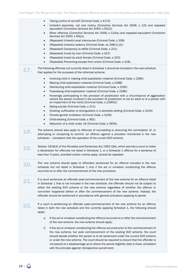|     | Taking control of aircraft (Criminal Code, s 417A)<br>$\bullet$<br>Unlawful assembly, riot and mutiny (Corrective Services Act 2006, s 122 and repealed<br>$\bullet$<br>equivalent (Corrective Services Act 2000, s 92(2))                                                                                                                                                                                                                                                                                  |
|-----|-------------------------------------------------------------------------------------------------------------------------------------------------------------------------------------------------------------------------------------------------------------------------------------------------------------------------------------------------------------------------------------------------------------------------------------------------------------------------------------------------------------|
|     | Other offences (Corrective Services Act 2006, s 124(a) and repealed equivalent (Corrective<br>$\bullet$<br>Services Act 2000, s 94(a)).                                                                                                                                                                                                                                                                                                                                                                     |
|     | (Repealed) Unlawful anal intercourse (Criminal Code, s 208)<br>$\bullet$                                                                                                                                                                                                                                                                                                                                                                                                                                    |
|     | (Repealed) Unlawful sodomy (Criminal Code, ss 208(1)-(2))<br>$\bullet$                                                                                                                                                                                                                                                                                                                                                                                                                                      |
|     | (Repealed) Conspiracy to defile (Criminal Code, s 221)<br>٠                                                                                                                                                                                                                                                                                                                                                                                                                                                 |
|     | (Repealed) Incest by man (Criminal Code, s 222)<br>$\bullet$                                                                                                                                                                                                                                                                                                                                                                                                                                                |
|     | (Repealed) Incest by adult female (Criminal Code, s 223)<br>$\bullet$                                                                                                                                                                                                                                                                                                                                                                                                                                       |
|     | (Repealed) Preventing escape from wreck (Criminal Code, s 318).<br>$\bullet$                                                                                                                                                                                                                                                                                                                                                                                                                                |
| 17. | The following offences not currently listed in Schedule 1 should be included in the new schedule<br>that applies for the purposes of the reformed scheme:                                                                                                                                                                                                                                                                                                                                                   |
|     | Involving child in making child exploitation material (Criminal Code, s 228A)<br>$\bullet$                                                                                                                                                                                                                                                                                                                                                                                                                  |
|     | Making child exploitation material (Criminal Code, s 228B)<br>$\bullet$                                                                                                                                                                                                                                                                                                                                                                                                                                     |
|     | Distributing child exploitation material (Criminal Code, s 229C)<br>$\bullet$                                                                                                                                                                                                                                                                                                                                                                                                                               |
|     | Possessing child exploitation material (Criminal Code, s 228D)                                                                                                                                                                                                                                                                                                                                                                                                                                              |
|     | Knowingly participating in the provision of prostitution with a circumstance of aggravation<br>$\bullet$<br>(where the person involved in the provision of prostitution is not an adult or is a person with<br>an impairment of the mind) (Criminal Code, s 229H(2)                                                                                                                                                                                                                                         |
|     | Aiding suicide (Criminal Code, s 311)<br>$\bullet$                                                                                                                                                                                                                                                                                                                                                                                                                                                          |
|     | Choking, suffocation or strangulation in a domestic setting (Criminal Code, s 315A)<br>$\bullet$                                                                                                                                                                                                                                                                                                                                                                                                            |
|     | Female genital mutilation (Criminal Code, s 323A)<br>$\bullet$                                                                                                                                                                                                                                                                                                                                                                                                                                              |
|     | Child-stealing (Criminal Code, s 363)<br>$\bullet$                                                                                                                                                                                                                                                                                                                                                                                                                                                          |
|     | Abduction of a child under 16 (Criminal Code, s 363A).<br>$\bullet$                                                                                                                                                                                                                                                                                                                                                                                                                                         |
| 18. | The scheme should also apply to offences of counselling or procuring the commission of, or<br>attempting or conspiring to commit, an offence against a provision mentioned in the new<br>schedule - consistent with the operation of the current SVO scheme.                                                                                                                                                                                                                                                |
| 19. | Section 161B(4) of the Penalties and Sentences Act 1992 (Qld), which permits a court to make<br>a declaration for offences not listed in Schedule 1, or a Schedule 1 offence for a sentence of<br>less than 5 years, provided certain criteria apply, should be repealed.                                                                                                                                                                                                                                   |
| 20. | The new scheme should apply to offenders sentenced for an offence included in the new<br>schedule but not listed in Schedule 1 only if the act or omission constituting the offence<br>occurred on or after the commencement of the new provisions.                                                                                                                                                                                                                                                         |
|     |                                                                                                                                                                                                                                                                                                                                                                                                                                                                                                             |
|     | If a court sentences an offender post-commencement of the new scheme for an offence listed<br>in Schedule 1 that is not included in the new schedule, the offender should not be subject to<br>either the existing SVO scheme or the new scheme regardless of whether the offence or<br>conviction happened before or after the commencement of the new scheme. Instead, the<br>offender should be sentenced in accordance with general provisions applying to parole.                                      |
| 22. | If a court is sentencing an offender post-commencement of the new scheme for an offence<br>listed in both the new schedule and the currently applying Schedule 1, the following should<br>apply:                                                                                                                                                                                                                                                                                                            |
|     | If the act or omission constituting the offence occurred on or after the commencement<br>a.<br>of the new scheme, the new scheme should apply;                                                                                                                                                                                                                                                                                                                                                              |
|     | If the act or omission constituting the offence occurred prior to the commencement of<br>b.<br>the new scheme, but post commencement of the existing SVO scheme, the court<br>should decide whether the person is to be sentenced under the current SVO scheme<br>or under the new scheme. The court should be required to ensure that the offender is<br>not placed at a disadvantage as to where the parole eligibility date is fixed, consistent<br>with the principle against retrospective punishment. |